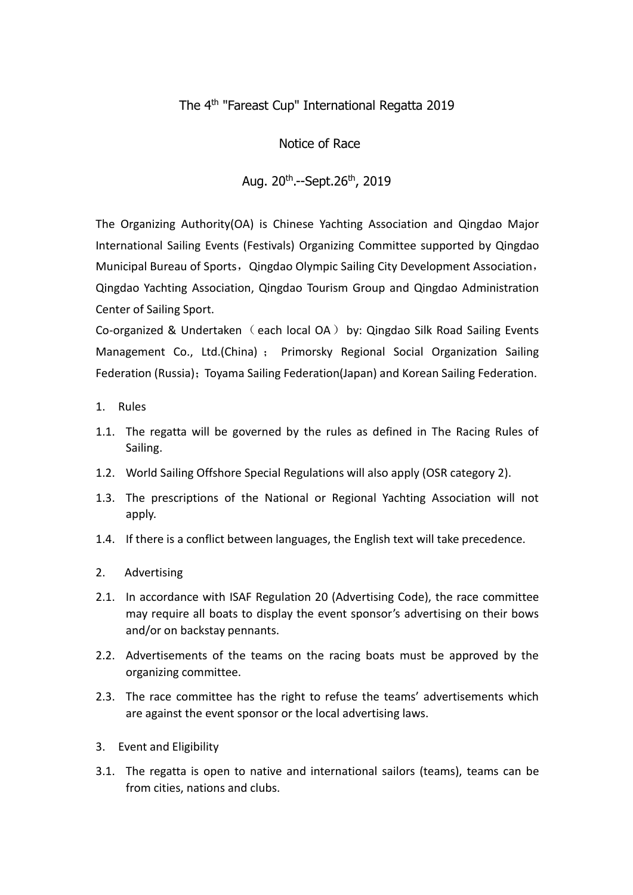# The 4 th "Fareast Cup" International Regatta 2019

## Notice of Race

# Aug. 20<sup>th</sup>.--Sept.26<sup>th</sup>, 2019

The Organizing Authority(OA) is Chinese Yachting Association and Qingdao Major International Sailing Events (Festivals) Organizing Committee supported by Qingdao Municipal Bureau of Sports, Qingdao Olympic Sailing City Development Association, Qingdao Yachting Association, Qingdao Tourism Group and Qingdao Administration Center of Sailing Sport.

Co-organized & Undertaken (each local OA) by: Qingdao Silk Road Sailing Events Management Co., Ltd.(China) ; Primorsky Regional Social Organization Sailing Federation (Russia); Toyama Sailing Federation(Japan) and Korean Sailing Federation.

- 1. Rules
- 1.1. The regatta will be governed by the rules as defined in The Racing Rules of Sailing.
- 1.2. World Sailing Offshore Special Regulations will also apply (OSR category 2).
- 1.3. The prescriptions of the National or Regional Yachting Association will not apply.
- 1.4. If there is a conflict between languages, the English text will take precedence.
- 2. Advertising
- 2.1. In accordance with ISAF Regulation 20 (Advertising Code), the race committee may require all boats to display the event sponsor's advertising on their bows and/or on backstay pennants.
- 2.2. Advertisements of the teams on the racing boats must be approved by the organizing committee.
- 2.3. The race committee has the right to refuse the teams' advertisements which are against the event sponsor or the local advertising laws.
- 3. Event and Eligibility
- 3.1. The regatta is open to native and international sailors (teams), teams can be from cities, nations and clubs.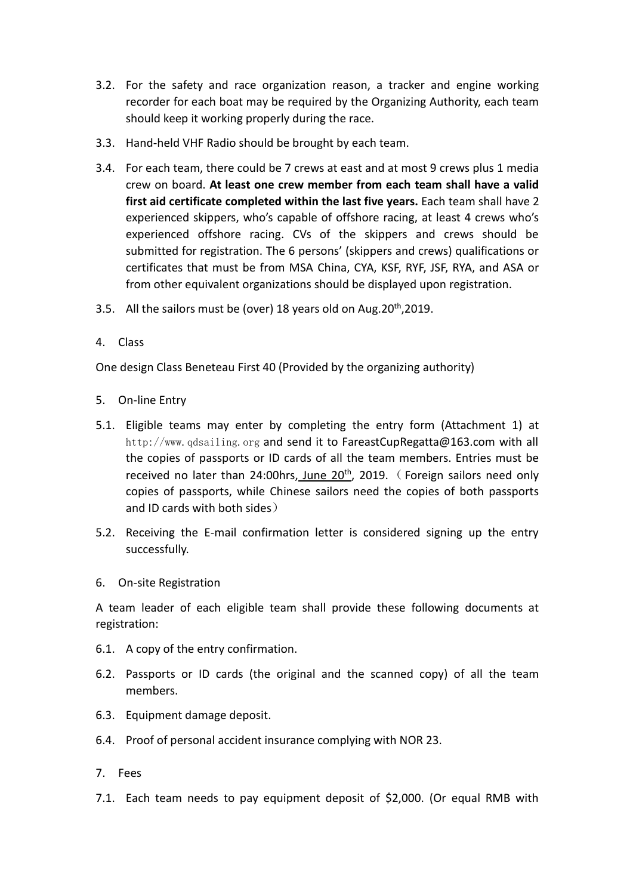- 3.2. For the safety and race organization reason, a tracker and engine working recorder for each boat may be required by the Organizing Authority, each team should keep it working properly during the race.
- 3.3. Hand-held VHF Radio should be brought by each team.
- 3.4. For each team, there could be 7 crews at east and at most 9 crews plus 1 media crew on board. **At least one crew member from each team shall have a valid first aid certificate completed within the last five years.** Each team shall have 2 experienced skippers, who's capable of offshore racing, at least 4 crews who's experienced offshore racing. CVs of the skippers and crews should be submitted for registration. The 6 persons' (skippers and crews) qualifications or certificates that must be from MSA China, CYA, KSF, RYF, JSF, RYA, and ASA or from other equivalent organizations should be displayed upon registration.
- 3.5. All the sailors must be (over) 18 years old on Aug.20<sup>th</sup>,2019.
- 4. Class

One design Class Beneteau First 40 (Provided by the organizing authority)

- 5. On-line Entry
- 5.1. Eligible teams may enter by completing the entry form (Attachment 1) at http://www.qdsailing.org and send it to FareastCupRegatta@163.com with all the copies of passports or ID cards of all the team members. Entries must be received no later than 24:00hrs, June 20<sup>th</sup>, 2019. (Foreign sailors need only copies of passports, while Chinese sailors need the copies of both passports and ID cards with both sides)
- 5.2. Receiving the E-mail [confirmation](app:ds:confirmation) [letter](app:ds:letter) is considered signing up the entry successfully.
- 6. On-site Registration

A team leader of each eligible team shall provide these following documents at registration:

- 6.1. A copy of the entry confirmation.
- 6.2. Passports or ID cards (the original and the scanned copy) of all the team members.
- 6.3. Equipment damage deposit.
- 6.4. Proof of personal accident insurance complying with NOR 23.
- 7. Fees
- 7.1. Each team needs to pay equipment deposit of \$2,000. (Or equal RMB with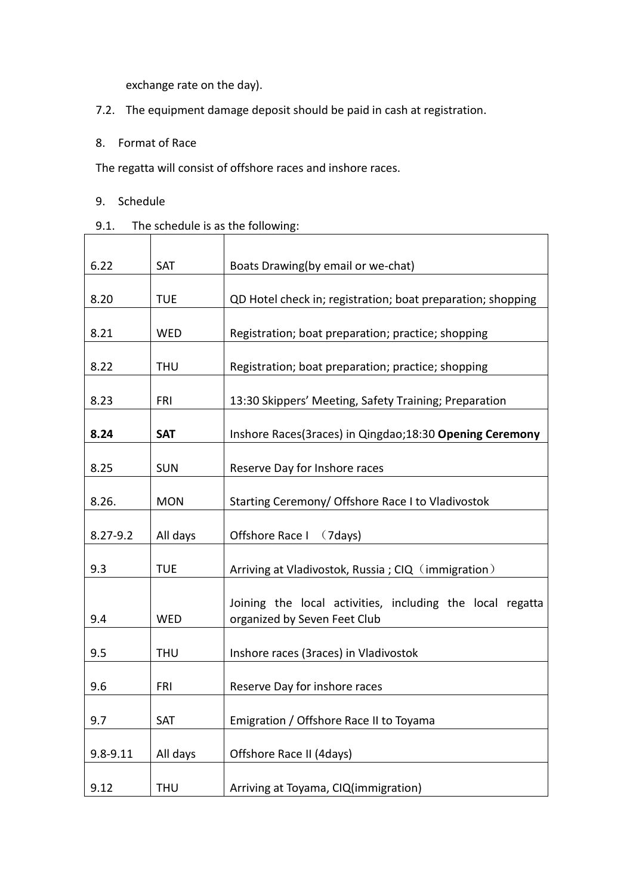exchange rate on the day).

- 7.2. The equipment damage deposit should be paid in cash at registration.
- 8. Format of Race

The regatta will consist of offshore races and inshore races.

- 9. Schedule
- 9.1. The schedule is as the following:

| 6.22         | SAT        | Boats Drawing(by email or we-chat)                                                        |
|--------------|------------|-------------------------------------------------------------------------------------------|
| 8.20         | <b>TUE</b> | QD Hotel check in; registration; boat preparation; shopping                               |
| 8.21         | WED        | Registration; boat preparation; practice; shopping                                        |
| 8.22         | <b>THU</b> | Registration; boat preparation; practice; shopping                                        |
| 8.23         | <b>FRI</b> | 13:30 Skippers' Meeting, Safety Training; Preparation                                     |
| 8.24         | <b>SAT</b> | Inshore Races(3races) in Qingdao;18:30 Opening Ceremony                                   |
| 8.25         | <b>SUN</b> | Reserve Day for Inshore races                                                             |
| 8.26.        | <b>MON</b> | Starting Ceremony/ Offshore Race I to Vladivostok                                         |
| $8.27 - 9.2$ | All days   | Offshore Race I<br>(7 days)                                                               |
| 9.3          | <b>TUE</b> | Arriving at Vladivostok, Russia; CIQ (immigration)                                        |
| 9.4          | WED        | Joining the local activities, including the local regatta<br>organized by Seven Feet Club |
| 9.5          | <b>THU</b> | Inshore races (3races) in Vladivostok                                                     |
| 9.6          | FRI        | Reserve Day for inshore races                                                             |
| 9.7          | SAT        | Emigration / Offshore Race II to Toyama                                                   |
| $9.8 - 9.11$ | All days   | Offshore Race II (4days)                                                                  |
| 9.12         | <b>THU</b> | Arriving at Toyama, CIQ(immigration)                                                      |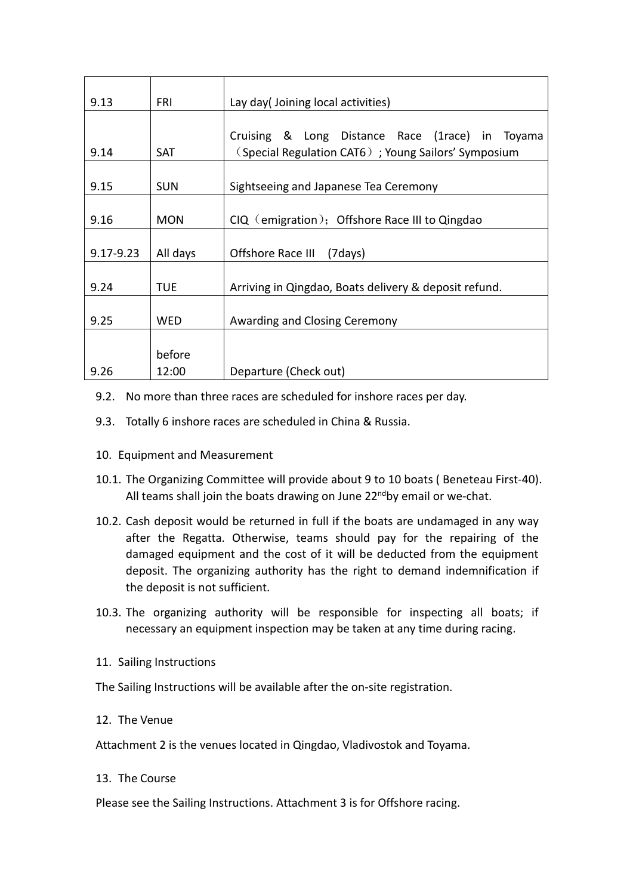| 9.13          | <b>FRI</b> | Lay day(Joining local activities)                     |  |  |  |  |
|---------------|------------|-------------------------------------------------------|--|--|--|--|
|               |            |                                                       |  |  |  |  |
|               |            | Cruising & Long Distance Race (1race) in Toyama       |  |  |  |  |
| 9.14          | <b>SAT</b> | (Special Regulation CAT6); Young Sailors' Symposium   |  |  |  |  |
|               |            |                                                       |  |  |  |  |
| 9.15          | <b>SUN</b> | Sightseeing and Japanese Tea Ceremony                 |  |  |  |  |
|               |            |                                                       |  |  |  |  |
| 9.16          | <b>MON</b> | $CIQ$ (emigration); Offshore Race III to Qingdao      |  |  |  |  |
|               |            |                                                       |  |  |  |  |
| $9.17 - 9.23$ | All days   | Offshore Race III<br>(7days)                          |  |  |  |  |
|               |            |                                                       |  |  |  |  |
| 9.24          | <b>TUE</b> | Arriving in Qingdao, Boats delivery & deposit refund. |  |  |  |  |
|               |            |                                                       |  |  |  |  |
| 9.25          | <b>WED</b> | Awarding and Closing Ceremony                         |  |  |  |  |
|               |            |                                                       |  |  |  |  |
|               | before     |                                                       |  |  |  |  |
| 9.26          | 12:00      | Departure (Check out)                                 |  |  |  |  |

- 9.2. No more than three races are scheduled for inshore races per day.<br>9.3. Totally 6 inshore races are scheduled in China & Russia.
- 
- 10. Equipment and Measurement
- 10.1. The Organizing Committee will provide about 9 to 10 boats (Beneteau First-40). All teams shall join the boats drawing on June 22<sup>nd</sup>by email or we-chat.
- 10.2. Cash deposit would be returned in full if the boats are undamaged in any way after the Regatta. Otherwise, teams should pay for the repairing of the damaged equipment and the cost of it will be deducted from the equipment deposit. The organizing authority has the right to demand indemnification if the deposit is not sufficient.
- 10.3. The organizing authority will be responsible for inspecting all boats; if necessary an equipment inspection may be taken at any time during racing.
- 11. Sailing Instructions

The Sailing Instructions will be available after the on-site registration.

12. The Venue

Attachment 2 is the venues located in Qingdao, Vladivostok and Toyama.

13. The Course

Please see the Sailing Instructions. Attachment 3 is for Offshore racing.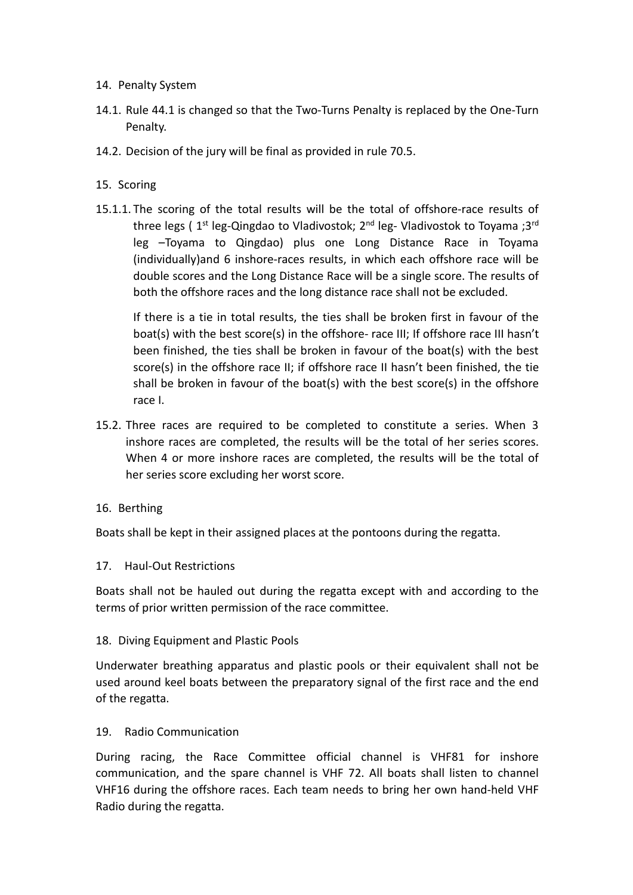## 14. Penalty System

- 14.1. Rule 44.1 is changed so that the Two-Turns Penalty is replaced by the One-Turn Penalty.
- 14.2. Decision of the jury will be final as provided in rule 70.5.

## 15. Scoring

15.1.1. The scoring of the total results will be the total of offshore-race results of three legs ( 1<sup>st</sup> leg-Qingdao to Vladivostok; 2<sup>nd</sup> leg- Vladivostok to Toyama ;3<sup>rd</sup> leg –Toyama to Qingdao) plus one Long Distance Race in Toyama (individually)and 6 inshore-races results, in which each offshore race will be double scores and the Long Distance Race will be a single score. The results of both the offshore races and the long distance race shall not be excluded.

If there is a tie in total results, the ties shall be broken first in favour of the boat(s) with the best score(s) in the offshore- race III; If offshore race III hasn't been finished, the ties shall be broken in favour of the boat(s) with the best score(s) in the offshore race II; if offshore race II hasn't been finished, the tie shall be broken in favour of the boat(s) with the best score(s) in the offshore race I.

- 15.2. Three races are required to be completed to constitute a series. When 3 inshore races are completed, the results will be the total of her series scores. When 4 or more inshore races are completed, the results will be the total of her series score excluding her worst score.
- 16. Berthing

Boats shall be kept in their assigned places at the pontoons during the regatta.

### 17. Haul-Out Restrictions

Boats shall not be hauled out during the regatta except with and according to the terms of prior written permission of the race committee.

### 18. Diving Equipment and Plastic Pools

Underwater breathing apparatus and plastic pools or their equivalent shall not be used around keel boats between the preparatory signal of the first race and the end of the regatta.

### 19. Radio Communication

During racing, the Race Committee official channel is VHF81 for inshore communication, and the spare channel is VHF 72. All boats shall listen to channel VHF16 during the offshore races. Each team needs to bring her own hand-held VHF Radio during the regatta.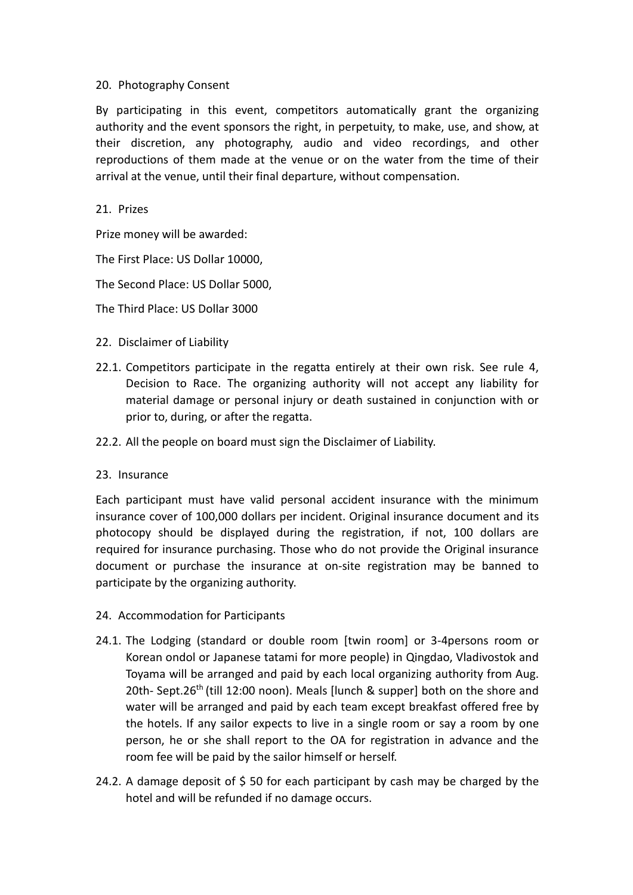### 20. Photography Consent

By participating in this event, competitors automatically grant the organizing authority and the event sponsors the right, in perpetuity, to make, use, and show, at their discretion, any photography, audio and video recordings, and other reproductions of them made at the venue or on the water from the time of their arrival at the venue, until their final departure, without compensation.

#### 21. Prizes

Prize money will be awarded:

The First Place: US Dollar 10000,

The Second Place: US Dollar 5000,

The Third Place: US Dollar 3000

- 22. Disclaimer of Liability
- 22.1. Competitors participate in the regatta entirely at their own risk. See rule 4, Decision to Race. The organizing authority will not accept any liability for material damage or personal injury or death sustained in conjunction with or prior to, during, or after the regatta.
- 22.2. All the people on board must sign the Disclaimer of Liability.

### 23. Insurance

Each participant must have valid personal accident insurance with the minimum insurance cover of 100,000 dollars per incident. Original insurance document and its photocopy should be displayed during the registration, if not, 100 dollars are required for insurance purchasing. Those who do not provide the Original insurance document or purchase the insurance at on-site registration may be banned to participate by the organizing authority.<br>24. Accommodation for Participants

- 
- 24.1. The Lodging (standard or double room [twin room] or 3-4persons room or Korean ondol or Japanese tatami for more people) in Qingdao, Vladivostok and Toyama will be arranged and paid by each local organizing authority from Aug. 20th- Sept.26<sup>th</sup> (till 12:00 noon). Meals [lunch & supper] both on the shore and water will be arranged and paid by each team except breakfast offered free by the hotels. If any sailor expects to live in a single room or say a room by one person, he or she shall report to the OA for registration in advance and the room fee will be paid by the sailor himself or herself.
- 24.2. A damage deposit of  $\frac{2}{5}$  50 for each participant by cash may be charged by the hotel and will be refunded if no damage occurs.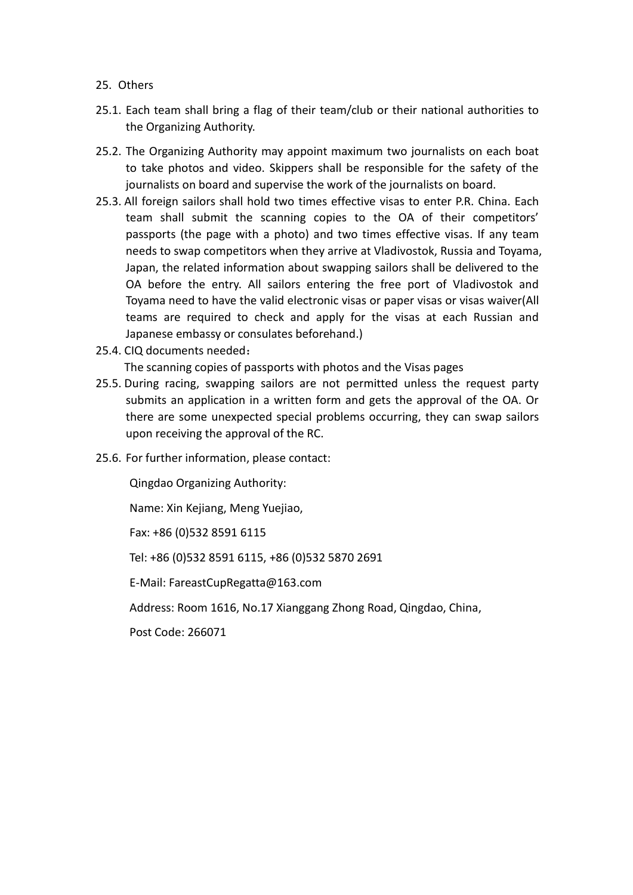- 25. Others
- 25.1. Each team shall bring a flag of their team/club or their national authorities to the Organizing Authority.
- 25.2. The Organizing Authority may appoint maximum two journalists on each boat to take photos and video. Skippers shall be responsible for the safety of the journalists on board and supervise the work of the journalists on board.
- 25.3. All foreign sailors shall hold two times effective visas to enter P.R. China. Each team shall submit the scanning copies to the OA of their competitors' passports (the page with a photo) and two times effective visas. If any team needs to swap competitors when they arrive at Vladivostok, Russia and Toyama, Japan, the related information about swapping sailors shall be delivered to the OA before the entry. All sailors entering the free port of Vladivostok and Toyama need to have the valid electronic visas or paper visas or visas waiver(All teams are required to check and apply for the visas at each Russian and Japanese embassy or consulates beforehand.)
- 25.4. CIQ documents needed:

The scanning copies of passports with photos and the Visas pages

- 25.5. During racing, swapping sailors are not permitted unless the request party submits an application in a written form and gets the approval of the OA. Or there are some unexpected special problems occurring, they can swap sailors upon receiving the approval of the RC.
- 25.6. For further information, please contact:

Qingdao Organizing Authority:

Name: Xin Kejiang, Meng Yuejiao,

Fax: +86 (0)532 8591 6115

Tel: +86 (0)532 8591 6115, +86 (0)532 5870 2691

E-Mail: FareastCupRegatta@163.com

Address: Room 1616, No.17 Xianggang Zhong Road, Qingdao, China,

Post Code: 266071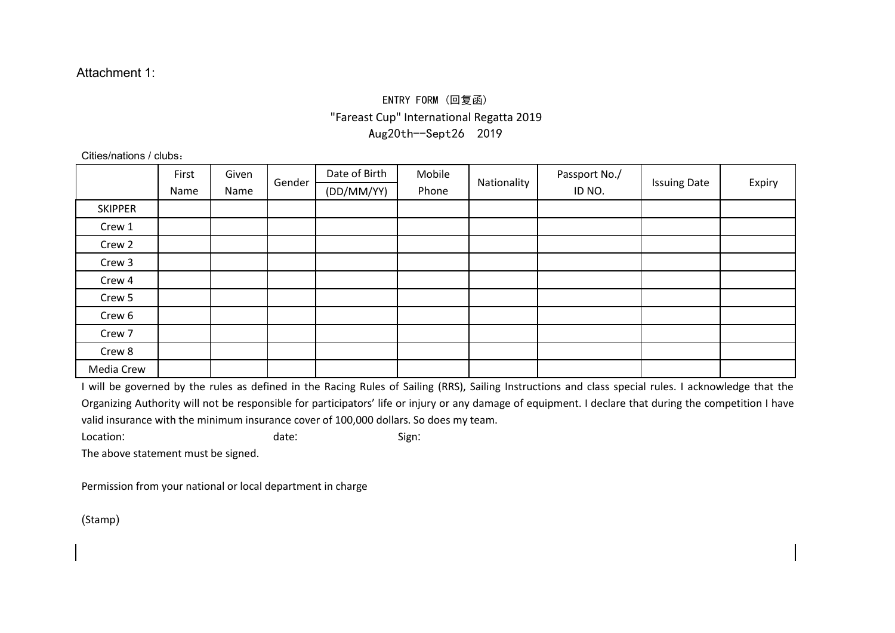# ENTRY FORM (回复函) "Fareast Cup" International Regatta 2019 Aug20th--Sept26 2019

Cities/nations / clubs:

|                | First | Given | Gender | Date of Birth | Mobile | Nationality | Passport No./ | <b>Issuing Date</b> | Expiry |
|----------------|-------|-------|--------|---------------|--------|-------------|---------------|---------------------|--------|
|                | Name  | Name  |        | (DD/MM/YY)    | Phone  |             | ID NO.        |                     |        |
| <b>SKIPPER</b> |       |       |        |               |        |             |               |                     |        |
| Crew 1         |       |       |        |               |        |             |               |                     |        |
| Crew 2         |       |       |        |               |        |             |               |                     |        |
| Crew 3         |       |       |        |               |        |             |               |                     |        |
| Crew 4         |       |       |        |               |        |             |               |                     |        |
| Crew 5         |       |       |        |               |        |             |               |                     |        |
| Crew 6         |       |       |        |               |        |             |               |                     |        |
| Crew 7         |       |       |        |               |        |             |               |                     |        |
| Crew 8         |       |       |        |               |        |             |               |                     |        |
| Media Crew     |       |       |        |               |        |             |               |                     |        |

I will be governed by the rules as defined in the Racing Rules of Sailing (RRS), Sailing Instructions and class special rules. I acknowledge that the Organizing Authority will not be responsible for participators' life or [injury](http://dict.youdao.com/w/injury/) or any damage of equipment. I declare that during the competition I have valid insurance with the minimum insurance cover of 100,000 dollars. So does my team.

Location: date: Sign:

The above statement must be signed.

[Permission](http://dict.youdao.com/w/permission/) from your national or local department in charge

(Stamp)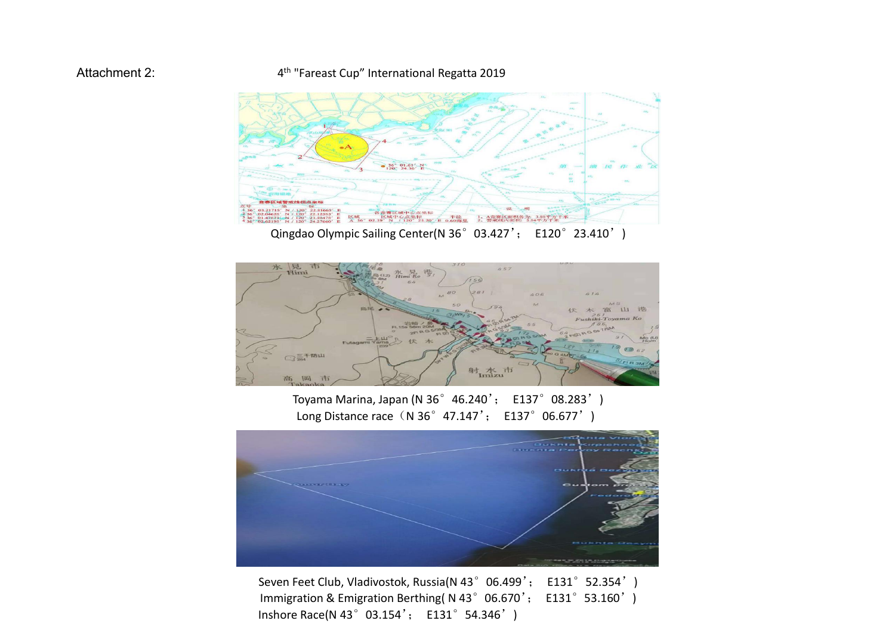#### Attachment 2:  $4^{th}$  "Fareast Cup" International Regatta 2019





Toyama Marina, Japan (N 36°46.240'; E137°08.283') Long Distance race (N 36° 47.147'; E137°06.677')



Seven Feet Club, Vladivostok, Russia(N 43°06.499'; E131°52.354') Immigration & Emigration Berthing( N 43° 06.670'; E131° 53.160') Inshore Race(N 43°03.154'; E131°54.346')